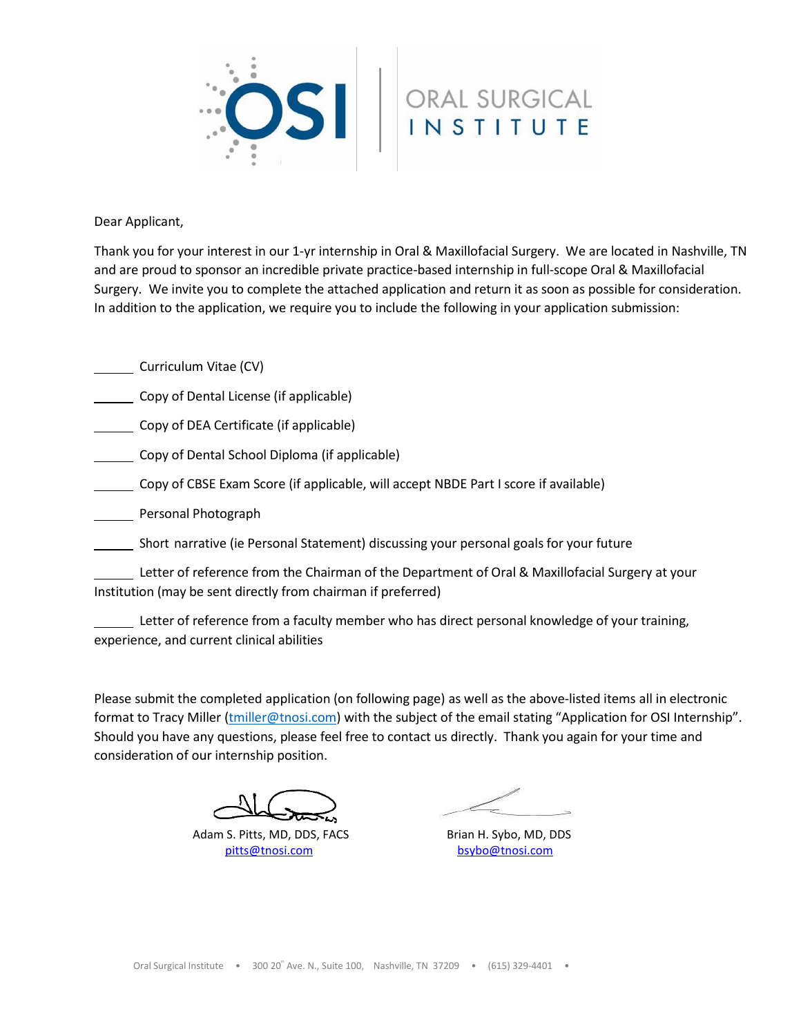

Dear Applicant,

Thank you for your interest in our 1-yr internship in Oral & Maxillofacial Surgery. We are located in Nashville, TN and are proud to sponsor an incredible private practice-based internship in full-scope Oral & Maxillofacial Surgery. We invite you to complete the attached application and return it as soon as possible for consideration. In addition to the application, we require you to include the following in your application submission:

Curriculum Vitae (CV)

Copy of Dental License (if applicable)

Copy of DEA Certificate (if applicable)

Copy of Dental School Diploma (if applicable)

Copy of CBSE Exam Score (if applicable, will accept NBDE Part I score if available)

Personal Photograph

Short narrative (ie Personal Statement) discussing your personal goals for your future

 Letter of reference from the Chairman of the Department of Oral & Maxillofacial Surgery at your Institution (may be sent directly from chairman if preferred)

 Letter of reference from a faculty member who has direct personal knowledge of your training, experience, and current clinical abilities

Please submit the completed application (on following page) as well as the above-listed items all in electronic format to Tracy Miller [\(tmiller@tnosi.com\)](mailto:tmiller@tnosi.com) with the subject of the email stating "Application for OSI Internship". Should you have any questions, please feel free to contact us directly. Thank you again for your time and consideration of our internship position.

Adam S. Pitts, MD, DDS, FACS Brian H. Sybo, MD, DDS [pitts@tnosi.com](mailto:pitts@tnosi.com) [bsybo@tnosi.com](https://oralsurgical-my.sharepoint.com/personal/tmiller_tnosi_com/Documents/Desktop/bsybo@tnosi.com)